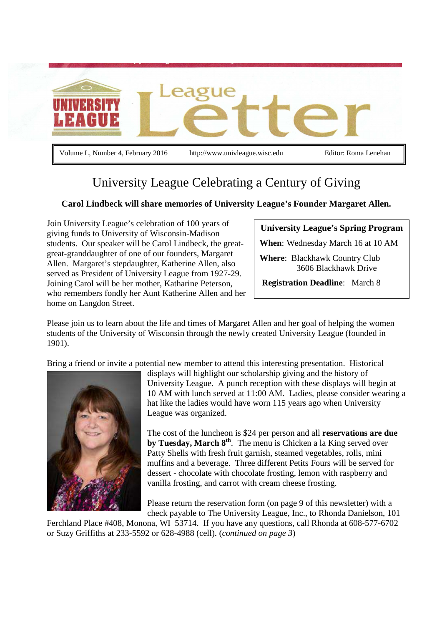

Volume L, Number 4, February 2016 http://www.univleague.wisc.edu Editor: Roma Lenehan

# University League Celebrating a Century of Giving

### **Carol Lindbeck will share memories of University League's Founder Margaret Allen.**

Join University League's celebration of 100 years of giving funds to University of Wisconsin-Madison students. Our speaker will be Carol Lindbeck, the greatgreat-granddaughter of one of our founders, Margaret Allen. Margaret's stepdaughter, Katherine Allen, also served as President of University League from 1927-29. Joining Carol will be her mother, Katharine Peterson, who remembers fondly her Aunt Katherine Allen and her home on Langdon Street.

### **University League's Spring Program**

**When**: Wednesday March 16 at 10 AM

**Where**: Blackhawk Country Club 3606 Blackhawk Drive

**Registration Deadline**: March 8

Please join us to learn about the life and times of Margaret Allen and her goal of helping the women students of the University of Wisconsin through the newly created University League (founded in 1901).

Bring a friend or invite a potential new member to attend this interesting presentation. Historical



displays will highlight our scholarship giving and the history of University League. A punch reception with these displays will begin at 10 AM with lunch served at 11:00 AM. Ladies, please consider wearing a hat like the ladies would have worn 115 years ago when University League was organized.

The cost of the luncheon is \$24 per person and all **reservations are due by Tuesday, March 8th**. The menu is Chicken a la King served over Patty Shells with fresh fruit garnish, steamed vegetables, rolls, mini muffins and a beverage. Three different Petits Fours will be served for dessert - chocolate with chocolate frosting, lemon with raspberry and vanilla frosting, and carrot with cream cheese frosting.

Please return the reservation form (on page 9 of this newsletter) with a check payable to The University League, Inc., to Rhonda Danielson, 101

Ferchland Place #408, Monona, WI 53714. If you have any questions, call Rhonda at 608-577-6702 or Suzy Griffiths at 233-5592 or 628-4988 (cell). (*continued on page 3*)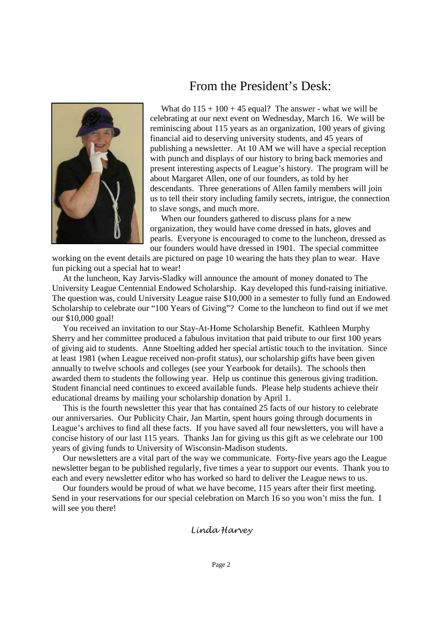

## From the President's Desk:

What do  $115 + 100 + 45$  equal? The answer - what we will be celebrating at our next event on Wednesday, March 16. We will be reminiscing about 115 years as an organization, 100 years of giving financial aid to deserving university students, and 45 years of publishing a newsletter. At 10 AM we will have a special reception with punch and displays of our history to bring back memories and present interesting aspects of League's history. The program will be about Margaret Allen, one of our founders, as told by her descendants. Three generations of Allen family members will join us to tell their story including family secrets, intrigue, the connection to slave songs, and much more.

 When our founders gathered to discuss plans for a new organization, they would have come dressed in hats, gloves and pearls. Everyone is encouraged to come to the luncheon, dressed as our founders would have dressed in 1901. The special committee

working on the event details are pictured on page 10 wearing the hats they plan to wear. Have fun picking out a special hat to wear!

 At the luncheon, Kay Jarvis-Sladky will announce the amount of money donated to The University League Centennial Endowed Scholarship. Kay developed this fund-raising initiative. The question was, could University League raise \$10,000 in a semester to fully fund an Endowed Scholarship to celebrate our "100 Years of Giving"? Come to the luncheon to find out if we met our \$10,000 goal!

 You received an invitation to our Stay-At-Home Scholarship Benefit. Kathleen Murphy Sherry and her committee produced a fabulous invitation that paid tribute to our first 100 years of giving aid to students. Anne Stoelting added her special artistic touch to the invitation. Since at least 1981 (when League received non-profit status), our scholarship gifts have been given annually to twelve schools and colleges (see your Yearbook for details). The schools then awarded them to students the following year. Help us continue this generous giving tradition. Student financial need continues to exceed available funds. Please help students achieve their educational dreams by mailing your scholarship donation by April 1.

 This is the fourth newsletter this year that has contained 25 facts of our history to celebrate our anniversaries. Our Publicity Chair, Jan Martin, spent hours going through documents in League's archives to find all these facts. If you have saved all four newsletters, you will have a concise history of our last 115 years. Thanks Jan for giving us this gift as we celebrate our 100 years of giving funds to University of Wisconsin-Madison students.

 Our newsletters are a vital part of the way we communicate. Forty-five years ago the League newsletter began to be published regularly, five times a year to support our events. Thank you to each and every newsletter editor who has worked so hard to deliver the League news to us.

 Our founders would be proud of what we have become, 115 years after their first meeting. Send in your reservations for our special celebration on March 16 so you won't miss the fun. I will see you there!

Linda Harvey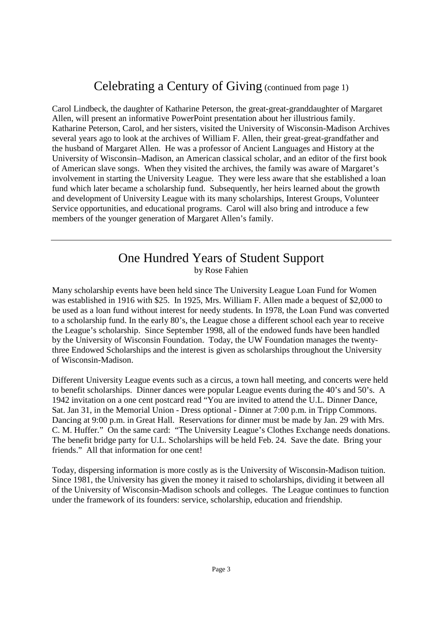# Celebrating a Century of Giving (continued from page 1)

Carol Lindbeck, the daughter of Katharine Peterson, the great-great-granddaughter of Margaret Allen, will present an informative PowerPoint presentation about her illustrious family. Katharine Peterson, Carol, and her sisters, visited the University of Wisconsin-Madison Archives several years ago to look at the archives of William F. Allen, their great-great-grandfather and the husband of Margaret Allen. He was a professor of Ancient Languages and History at the University of Wisconsin–Madison, an American classical scholar, and an editor of the first book of American slave songs. When they visited the archives, the family was aware of Margaret's involvement in starting the University League. They were less aware that she established a loan fund which later became a scholarship fund. Subsequently, her heirs learned about the growth and development of University League with its many scholarships, Interest Groups, Volunteer Service opportunities, and educational programs. Carol will also bring and introduce a few members of the younger generation of Margaret Allen's family.

## One Hundred Years of Student Support by Rose Fahien

Many scholarship events have been held since The University League Loan Fund for Women was established in 1916 with \$25. In 1925, Mrs. William F. Allen made a bequest of \$2,000 to be used as a loan fund without interest for needy students. In 1978, the Loan Fund was converted to a scholarship fund. In the early 80's, the League chose a different school each year to receive the League's scholarship. Since September 1998, all of the endowed funds have been handled by the University of Wisconsin Foundation. Today, the UW Foundation manages the twentythree Endowed Scholarships and the interest is given as scholarships throughout the University of Wisconsin-Madison.

Different University League events such as a circus, a town hall meeting, and concerts were held to benefit scholarships. Dinner dances were popular League events during the 40's and 50's. A 1942 invitation on a one cent postcard read "You are invited to attend the U.L. Dinner Dance, Sat. Jan 31, in the Memorial Union - Dress optional - Dinner at 7:00 p.m. in Tripp Commons. Dancing at 9:00 p.m. in Great Hall. Reservations for dinner must be made by Jan. 29 with Mrs. C. M. Huffer." On the same card: "The University League's Clothes Exchange needs donations. The benefit bridge party for U.L. Scholarships will be held Feb. 24. Save the date. Bring your friends." All that information for one cent!

Today, dispersing information is more costly as is the University of Wisconsin-Madison tuition. Since 1981, the University has given the money it raised to scholarships, dividing it between all of the University of Wisconsin-Madison schools and colleges. The League continues to function under the framework of its founders: service, scholarship, education and friendship.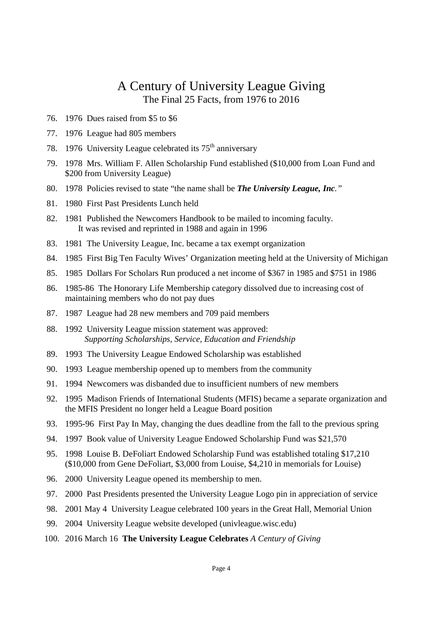## A Century of University League Giving The Final 25 Facts, from 1976 to 2016

- 76. 1976 Dues raised from \$5 to \$6
- 77. 1976 League had 805 members
- 78. 1976 University League celebrated its  $75<sup>th</sup>$  anniversary
- 79. 1978 Mrs. William F. Allen Scholarship Fund established (\$10,000 from Loan Fund and \$200 from University League)
- 80. 1978 Policies revised to state "the name shall be *The University League, Inc."*
- 81. 1980 First Past Presidents Lunch held
- 82. 1981 Published the Newcomers Handbook to be mailed to incoming faculty. It was revised and reprinted in 1988 and again in 1996
- 83. 1981 The University League, Inc. became a tax exempt organization
- 84. 1985 First Big Ten Faculty Wives' Organization meeting held at the University of Michigan
- 85. 1985 Dollars For Scholars Run produced a net income of \$367 in 1985 and \$751 in 1986
- 86. 1985-86 The Honorary Life Membership category dissolved due to increasing cost of maintaining members who do not pay dues
- 87. 1987 League had 28 new members and 709 paid members
- 88. 1992 University League mission statement was approved: *Supporting Scholarships, Service, Education and Friendship*
- 89. 1993 The University League Endowed Scholarship was established
- 90. 1993 League membership opened up to members from the community
- 91. 1994 Newcomers was disbanded due to insufficient numbers of new members
- 92. 1995 Madison Friends of International Students (MFIS) became a separate organization and the MFIS President no longer held a League Board position
- 93. 1995-96 First Pay In May, changing the dues deadline from the fall to the previous spring
- 94. 1997 Book value of University League Endowed Scholarship Fund was \$21,570
- 95. 1998 Louise B. DeFoliart Endowed Scholarship Fund was established totaling \$17,210 (\$10,000 from Gene DeFoliart, \$3,000 from Louise, \$4,210 in memorials for Louise)
- 96. 2000 University League opened its membership to men.
- 97. 2000 Past Presidents presented the University League Logo pin in appreciation of service
- 98. 2001 May 4 University League celebrated 100 years in the Great Hall, Memorial Union
- 99. 2004 University League website developed (univleague.wisc.edu)
- 100. 2016 March 16 **The University League Celebrates** *A Century of Giving*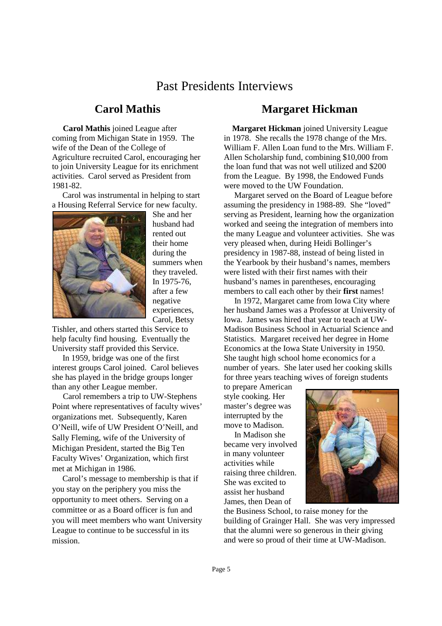# Past Presidents Interviews

### **Carol Mathis**

 **Carol Mathis** joined League after coming from Michigan State in 1959. The wife of the Dean of the College of Agriculture recruited Carol, encouraging her to join University League for its enrichment activities. Carol served as President from 1981-82.

 Carol was instrumental in helping to start a Housing Referral Service for new faculty.



She and her husband had rented out their home during the summers when they traveled. In 1975-76, after a few negative experiences, Carol, Betsy

Tishler, and others started this Service to help faculty find housing. Eventually the University staff provided this Service.

 In 1959, bridge was one of the first interest groups Carol joined. Carol believes she has played in the bridge groups longer than any other League member.

 Carol remembers a trip to UW-Stephens Point where representatives of faculty wives' organizations met. Subsequently, Karen O'Neill, wife of UW President O'Neill, and Sally Fleming, wife of the University of Michigan President, started the Big Ten Faculty Wives' Organization, which first met at Michigan in 1986.

 Carol's message to membership is that if you stay on the periphery you miss the opportunity to meet others. Serving on a committee or as a Board officer is fun and you will meet members who want University League to continue to be successful in its mission.

## **Margaret Hickman**

 **Margaret Hickman** joined University League in 1978. She recalls the 1978 change of the Mrs. William F. Allen Loan fund to the Mrs. William F. Allen Scholarship fund, combining \$10,000 from the loan fund that was not well utilized and \$200 from the League. By 1998, the Endowed Funds were moved to the UW Foundation.

 Margaret served on the Board of League before assuming the presidency in 1988-89. She "loved" serving as President, learning how the organization worked and seeing the integration of members into the many League and volunteer activities. She was very pleased when, during Heidi Bollinger's presidency in 1987-88, instead of being listed in the Yearbook by their husband's names, members were listed with their first names with their husband's names in parentheses, encouraging members to call each other by their **first** names!

 In 1972, Margaret came from Iowa City where her husband James was a Professor at University of Iowa. James was hired that year to teach at UW-Madison Business School in Actuarial Science and Statistics. Margaret received her degree in Home Economics at the Iowa State University in 1950. She taught high school home economics for a number of years. She later used her cooking skills for three years teaching wives of foreign students

to prepare American style cooking. Her master's degree was interrupted by the move to Madison.

 In Madison she became very involved in many volunteer activities while raising three children. She was excited to assist her husband James, then Dean of



the Business School, to raise money for the building of Grainger Hall. She was very impressed that the alumni were so generous in their giving and were so proud of their time at UW-Madison.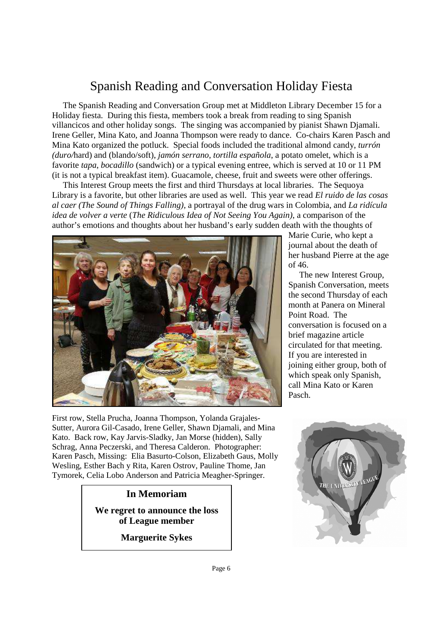# Spanish Reading and Conversation Holiday Fiesta

 The Spanish Reading and Conversation Group met at Middleton Library December 15 for a Holiday fiesta. During this fiesta, members took a break from reading to sing Spanish villancicos and other holiday songs. The singing was accompanied by pianist Shawn Djamali. Irene Geller, Mina Kato, and Joanna Thompson were ready to dance. Co-chairs Karen Pasch and Mina Kato organized the potluck. Special foods included the traditional almond candy, *turrón (duro/*hard) and (blando/soft), *jamón serrano*, *tortilla española*, a potato omelet, which is a favorite *tapa*, *bocadillo* (sandwich) or a typical evening entree, which is served at 10 or 11 PM (it is not a typical breakfast item). Guacamole, cheese, fruit and sweets were other offerings.

 This Interest Group meets the first and third Thursdays at local libraries. The Sequoya Library is a favorite, but other libraries are used as well. This year we read *El ruido de las cosas al caer (The Sound of Things Falling),* a portrayal of the drug wars in Colombia, and *La ridícula idea de volver a verte* (*The Ridiculous Idea of Not Seeing You Again)*, a comparison of the author's emotions and thoughts about her husband's early sudden death with the thoughts of



First row, Stella Prucha, Joanna Thompson, Yolanda Grajales-Sutter, Aurora Gil-Casado, Irene Geller, Shawn Djamali, and Mina Kato. Back row, Kay Jarvis-Sladky, Jan Morse (hidden), Sally Schrag, Anna Peczerski, and Theresa Calderon. Photographer: Karen Pasch, Missing: Elia Basurto-Colson, Elizabeth Gaus, Molly Wesling, Esther Bach y Rita, Karen Ostrov, Pauline Thome, Jan Tymorek, Celia Lobo Anderson and Patricia Meagher-Springer.

### **In Memoriam**

**We regret to announce the loss of League member** 

**Marguerite Sykes** 

Marie Curie, who kept a journal about the death of her husband Pierre at the age of 46.

 The new Interest Group, Spanish Conversation, meets the second Thursday of each month at Panera on Mineral Point Road. The conversation is focused on a brief magazine article circulated for that meeting. If you are interested in joining either group, both of which speak only Spanish, call Mina Kato or Karen Pasch.

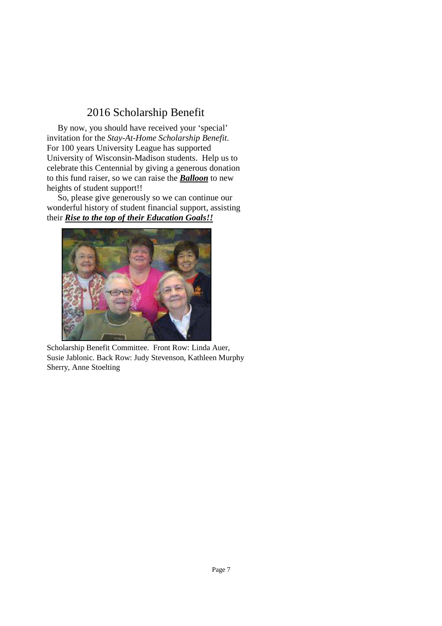## 2016 Scholarship Benefit

 By now, you should have received your 'special' invitation for the *Stay-At-Home Scholarship Benefit*. For 100 years University League has supported University of Wisconsin-Madison students. Help us to celebrate this Centennial by giving a generous donation to this fund raiser, so we can raise the *Balloon* to new heights of student support!!

 So, please give generously so we can continue our wonderful history of student financial support, assisting their *Rise to the top of their Education Goals!!* 



Scholarship Benefit Committee. Front Row: Linda Auer, Susie Jablonic. Back Row: Judy Stevenson, Kathleen Murphy Sherry, Anne Stoelting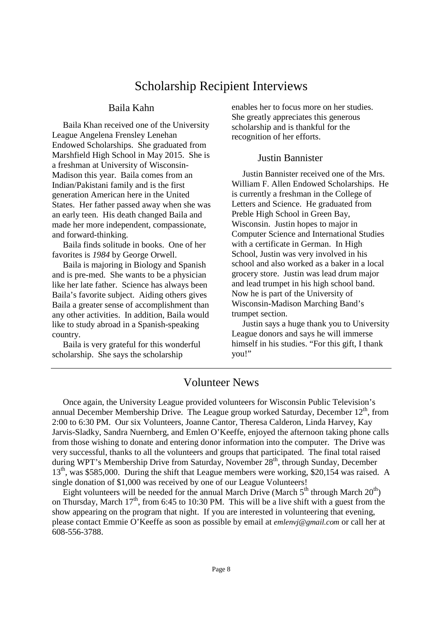# Scholarship Recipient Interviews

#### Baila Kahn

 Baila Khan received one of the University League Angelena Frensley Lenehan Endowed Scholarships. She graduated from Marshfield High School in May 2015. She is a freshman at University of Wisconsin-Madison this year. Baila comes from an Indian/Pakistani family and is the first generation American here in the United States. Her father passed away when she was an early teen. His death changed Baila and made her more independent, compassionate, and forward-thinking.

 Baila finds solitude in books. One of her favorites is *1984* by George Orwell.

 Baila is majoring in Biology and Spanish and is pre-med. She wants to be a physician like her late father. Science has always been Baila's favorite subject. Aiding others gives Baila a greater sense of accomplishment than any other activities. In addition, Baila would like to study abroad in a Spanish-speaking country.

 Baila is very grateful for this wonderful scholarship. She says the scholarship

enables her to focus more on her studies. She greatly appreciates this generous scholarship and is thankful for the recognition of her efforts.

#### Justin Bannister

 Justin Bannister received one of the Mrs. William F. Allen Endowed Scholarships. He is currently a freshman in the College of Letters and Science. He graduated from Preble High School in Green Bay, Wisconsin. Justin hopes to major in Computer Science and International Studies with a certificate in German. In High School, Justin was very involved in his school and also worked as a baker in a local grocery store. Justin was lead drum major and lead trumpet in his high school band. Now he is part of the University of Wisconsin-Madison Marching Band's trumpet section.

 Justin says a huge thank you to University League donors and says he will immerse himself in his studies. "For this gift, I thank you!"

## Volunteer News

 Once again, the University League provided volunteers for Wisconsin Public Television's annual December Membership Drive. The League group worked Saturday, December  $12<sup>th</sup>$ , from 2:00 to 6:30 PM. Our six Volunteers, Joanne Cantor, Theresa Calderon, Linda Harvey, Kay Jarvis-Sladky, Sandra Nuernberg, and Emlen O'Keeffe, enjoyed the afternoon taking phone calls from those wishing to donate and entering donor information into the computer. The Drive was very successful, thanks to all the volunteers and groups that participated. The final total raised during WPT's Membership Drive from Saturday, November 28<sup>th</sup>, through Sunday, December 13<sup>th</sup>, was \$585,000. During the shift that League members were working, \$20,154 was raised. A single donation of \$1,000 was received by one of our League Volunteers!

Eight volunteers will be needed for the annual March Drive (March  $5<sup>th</sup>$  through March  $20<sup>th</sup>$ ) on Thursday, March  $17<sup>th</sup>$ , from 6:45 to 10:30 PM. This will be a live shift with a guest from the show appearing on the program that night. If you are interested in volunteering that evening, please contact Emmie O'Keeffe as soon as possible by email at *emlenvj@gmail.com* or call her at 608-556-3788.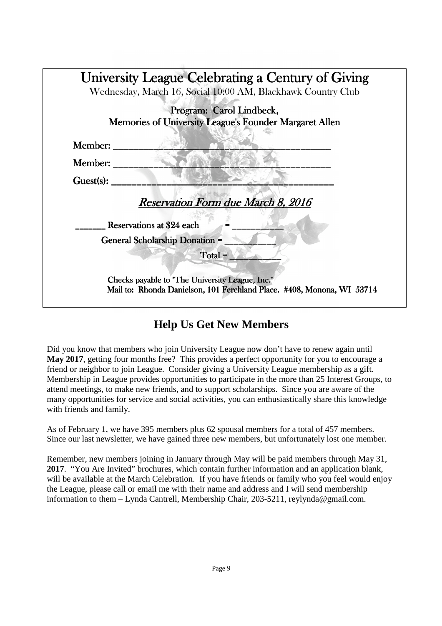|                | Wednesday, March 16, Social 10:00 AM, Blackhawk Country Club                       |
|----------------|------------------------------------------------------------------------------------|
|                | Program: Carol Lindbeck,<br>Memories of University League's Founder Margaret Allen |
| <b>Member:</b> |                                                                                    |
| <b>Member:</b> |                                                                                    |
| Guest(s):      |                                                                                    |
|                | Reservation Form due March 8, 2016                                                 |
|                | Reservations at \$24 each                                                          |
|                | <b>General Scholarship Donation =</b>                                              |
|                | Total =                                                                            |
|                | Checks payable to "The University League, Inc."                                    |

# **Help Us Get New Members**

Did you know that members who join University League now don't have to renew again until **May 2017**, getting four months free? This provides a perfect opportunity for you to encourage a friend or neighbor to join League. Consider giving a University League membership as a gift. Membership in League provides opportunities to participate in the more than 25 Interest Groups, to attend meetings, to make new friends, and to support scholarships. Since you are aware of the many opportunities for service and social activities, you can enthusiastically share this knowledge with friends and family.

As of February 1, we have 395 members plus 62 spousal members for a total of 457 members. Since our last newsletter, we have gained three new members, but unfortunately lost one member.

Remember, new members joining in January through May will be paid members through May 31, **2017**. "You Are Invited" brochures, which contain further information and an application blank, will be available at the March Celebration. If you have friends or family who you feel would enjoy the League, please call or email me with their name and address and I will send membership information to them – Lynda Cantrell, Membership Chair, 203-5211, reylynda@gmail.com.